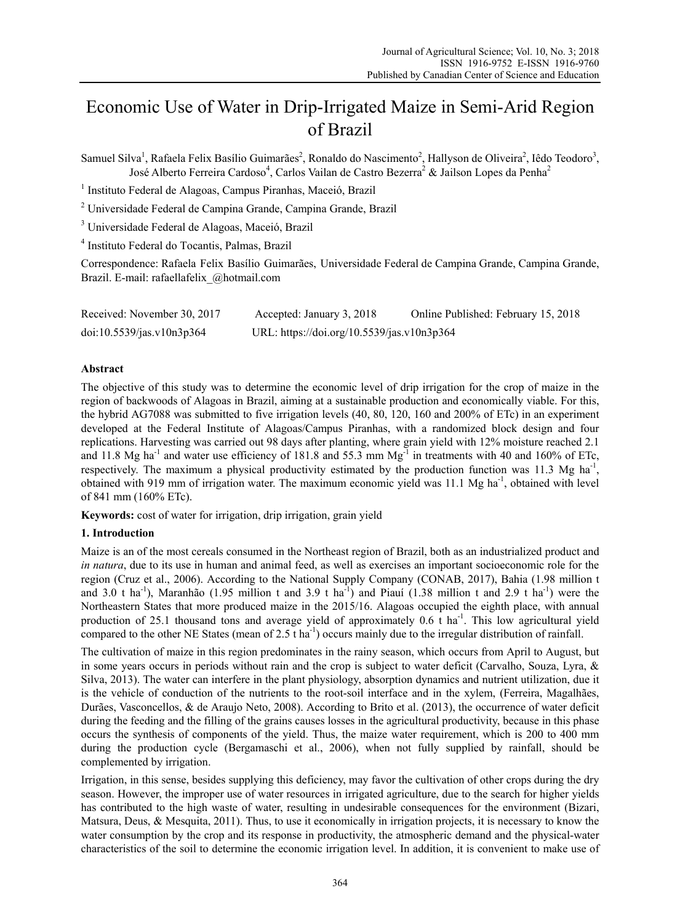# Economic Use of Water in Drip-Irrigated Maize in Semi-Arid Region of Brazil

Samuel Silva<sup>1</sup>, Rafaela Felix Basílio Guimarães<sup>2</sup>, Ronaldo do Nascimento<sup>2</sup>, Hallyson de Oliveira<sup>2</sup>, Iêdo Teodoro<sup>3</sup>, José Alberto Ferreira Cardoso<sup>4</sup>, Carlos Vailan de Castro Bezerra<sup>2</sup> & Jailson Lopes da Penha<sup>2</sup>

<sup>1</sup> Instituto Federal de Alagoas, Campus Piranhas, Maceió, Brazil

2 Universidade Federal de Campina Grande, Campina Grande, Brazil

<sup>3</sup> Universidade Federal de Alagoas, Maceió, Brazil

4 Instituto Federal do Tocantis, Palmas, Brazil

Correspondence: Rafaela Felix Basílio Guimarães, Universidade Federal de Campina Grande, Campina Grande, Brazil. E-mail: rafaellafelix\_@hotmail.com

| Received: November 30, 2017 | Accepted: January 3, 2018                  | Online Published: February 15, 2018 |
|-----------------------------|--------------------------------------------|-------------------------------------|
| doi:10.5539/jas.v10n3p364   | URL: https://doi.org/10.5539/jas.v10n3p364 |                                     |

## **Abstract**

The objective of this study was to determine the economic level of drip irrigation for the crop of maize in the region of backwoods of Alagoas in Brazil, aiming at a sustainable production and economically viable. For this, the hybrid AG7088 was submitted to five irrigation levels (40, 80, 120, 160 and 200% of ETc) in an experiment developed at the Federal Institute of Alagoas/Campus Piranhas, with a randomized block design and four replications. Harvesting was carried out 98 days after planting, where grain yield with 12% moisture reached 2.1 and 11.8 Mg ha<sup>-1</sup> and water use efficiency of 181.8 and 55.3 mm Mg<sup>-1</sup> in treatments with 40 and 160% of ETc, respectively. The maximum a physical productivity estimated by the production function was 11.3 Mg ha<sup>-1</sup>, obtained with 919 mm of irrigation water. The maximum economic yield was  $11.1$  Mg ha<sup>-1</sup>, obtained with level of 841 mm (160% ETc).

**Keywords:** cost of water for irrigation, drip irrigation, grain yield

#### **1. Introduction**

Maize is an of the most cereals consumed in the Northeast region of Brazil, both as an industrialized product and *in natura*, due to its use in human and animal feed, as well as exercises an important socioeconomic role for the region (Cruz et al., 2006). According to the National Supply Company (CONAB, 2017), Bahia (1.98 million t and 3.0 t ha<sup>-1</sup>), Maranhão (1.95 million t and 3.9 t ha<sup>-1</sup>) and Piauí (1.38 million t and 2.9 t ha<sup>-1</sup>) were the Northeastern States that more produced maize in the 2015/16. Alagoas occupied the eighth place, with annual production of 25.1 thousand tons and average yield of approximately  $0.6$  t ha<sup>-1</sup>. This low agricultural yield compared to the other NE States (mean of 2.5 t ha<sup>-1</sup>) occurs mainly due to the irregular distribution of rainfall.

The cultivation of maize in this region predominates in the rainy season, which occurs from April to August, but in some years occurs in periods without rain and the crop is subject to water deficit (Carvalho, Souza, Lyra, & Silva, 2013). The water can interfere in the plant physiology, absorption dynamics and nutrient utilization, due it is the vehicle of conduction of the nutrients to the root-soil interface and in the xylem, (Ferreira, Magalhães, Durães, Vasconcellos, & de Araujo Neto, 2008). According to Brito et al. (2013), the occurrence of water deficit during the feeding and the filling of the grains causes losses in the agricultural productivity, because in this phase occurs the synthesis of components of the yield. Thus, the maize water requirement, which is 200 to 400 mm during the production cycle (Bergamaschi et al., 2006), when not fully supplied by rainfall, should be complemented by irrigation.

Irrigation, in this sense, besides supplying this deficiency, may favor the cultivation of other crops during the dry season. However, the improper use of water resources in irrigated agriculture, due to the search for higher yields has contributed to the high waste of water, resulting in undesirable consequences for the environment (Bizari, Matsura, Deus, & Mesquita, 2011). Thus, to use it economically in irrigation projects, it is necessary to know the water consumption by the crop and its response in productivity, the atmospheric demand and the physical-water characteristics of the soil to determine the economic irrigation level. In addition, it is convenient to make use of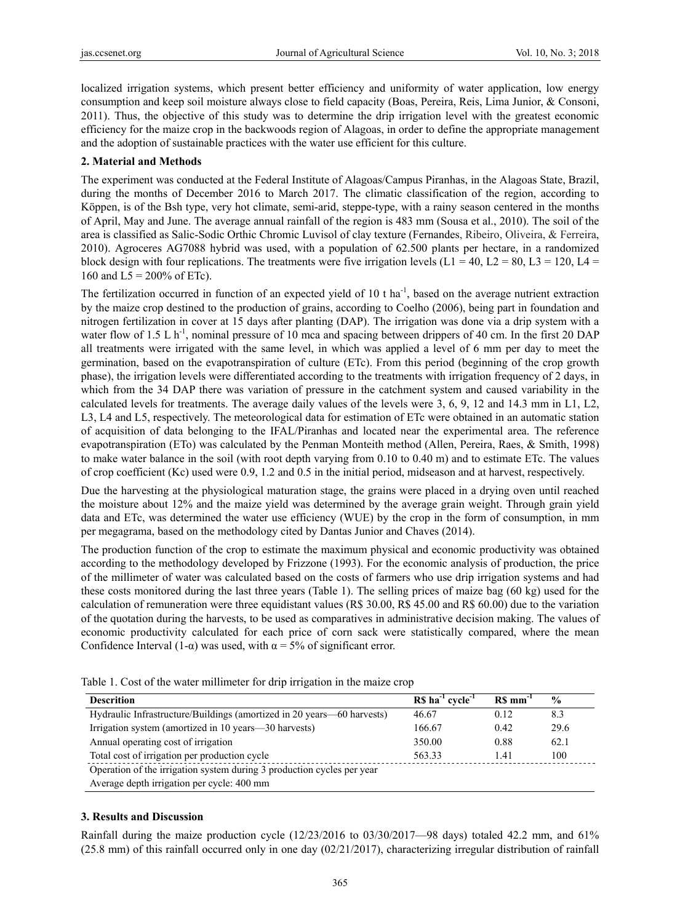localized irrigation systems, which present better efficiency and uniformity of water application, low energy consumption and keep soil moisture always close to field capacity (Boas, Pereira, Reis, Lima Junior, & Consoni, 2011). Thus, the objective of this study was to determine the drip irrigation level with the greatest economic efficiency for the maize crop in the backwoods region of Alagoas, in order to define the appropriate management and the adoption of sustainable practices with the water use efficient for this culture.

### **2. Material and Methods**

The experiment was conducted at the Federal Institute of Alagoas/Campus Piranhas, in the Alagoas State, Brazil, during the months of December 2016 to March 2017. The climatic classification of the region, according to Köppen, is of the Bsh type, very hot climate, semi-arid, steppe-type, with a rainy season centered in the months of April, May and June. The average annual rainfall of the region is 483 mm (Sousa et al., 2010). The soil of the area is classified as Salic-Sodic Orthic Chromic Luvisol of clay texture (Fernandes, Ribeiro, Oliveira, & Ferreira, 2010). Agroceres AG7088 hybrid was used, with a population of 62.500 plants per hectare, in a randomized block design with four replications. The treatments were five irrigation levels (L1 = 40, L2 = 80, L3 = 120, L4 = 160 and  $L5 = 200\%$  of ETc).

The fertilization occurred in function of an expected yield of 10 t ha<sup>-1</sup>, based on the average nutrient extraction by the maize crop destined to the production of grains, according to Coelho (2006), being part in foundation and nitrogen fertilization in cover at 15 days after planting (DAP). The irrigation was done via a drip system with a water flow of 1.5 L h<sup>-1</sup>, nominal pressure of 10 mca and spacing between drippers of 40 cm. In the first 20 DAP all treatments were irrigated with the same level, in which was applied a level of 6 mm per day to meet the germination, based on the evapotranspiration of culture (ETc). From this period (beginning of the crop growth phase), the irrigation levels were differentiated according to the treatments with irrigation frequency of 2 days, in which from the 34 DAP there was variation of pressure in the catchment system and caused variability in the calculated levels for treatments. The average daily values of the levels were 3, 6, 9, 12 and 14.3 mm in L1, L2, L3, L4 and L5, respectively. The meteorological data for estimation of ETc were obtained in an automatic station of acquisition of data belonging to the IFAL/Piranhas and located near the experimental area. The reference evapotranspiration (ETo) was calculated by the Penman Monteith method (Allen, Pereira, Raes, & Smith, 1998) to make water balance in the soil (with root depth varying from 0.10 to 0.40 m) and to estimate ETc. The values of crop coefficient (Kc) used were 0.9, 1.2 and 0.5 in the initial period, midseason and at harvest, respectively.

Due the harvesting at the physiological maturation stage, the grains were placed in a drying oven until reached the moisture about 12% and the maize yield was determined by the average grain weight. Through grain yield data and ETc, was determined the water use efficiency (WUE) by the crop in the form of consumption, in mm per megagrama, based on the methodology cited by Dantas Junior and Chaves (2014).

The production function of the crop to estimate the maximum physical and economic productivity was obtained according to the methodology developed by Frizzone (1993). For the economic analysis of production, the price of the millimeter of water was calculated based on the costs of farmers who use drip irrigation systems and had these costs monitored during the last three years (Table 1). The selling prices of maize bag (60 kg) used for the calculation of remuneration were three equidistant values (R\$ 30.00, R\$ 45.00 and R\$ 60.00) due to the variation of the quotation during the harvests, to be used as comparatives in administrative decision making. The values of economic productivity calculated for each price of corn sack were statistically compared, where the mean Confidence Interval (1- $\alpha$ ) was used, with  $\alpha = 5\%$  of significant error.

| <b>Descrition</b>                                                      | $RS-1 cycle-1$ | $RS \, \text{mm}^{-1}$ | $\frac{6}{9}$ |  |
|------------------------------------------------------------------------|----------------|------------------------|---------------|--|
| Hydraulic Infrastructure/Buildings (amortized in 20 years—60 harvests) | 46.67          | 012                    | 8.3           |  |
| Irrigation system (amortized in 10 years—30 harvests)                  | 166.67         | 0.42                   | 29.6          |  |
| Annual operating cost of irrigation                                    | 350.00         | 0.88                   | 62.1          |  |
| Total cost of irrigation per production cycle                          | 563.33         | 1.41                   | 100           |  |
| Operation of the irrigation system during 3 production cycles per year |                |                        |               |  |
| Average depth irrigation per cycle: 400 mm                             |                |                        |               |  |

Table 1. Cost of the water millimeter for drip irrigation in the maize crop

#### **3. Results and Discussion**

Rainfall during the maize production cycle (12/23/2016 to 03/30/2017—98 days) totaled 42.2 mm, and 61%  $(25.8 \text{ mm})$  of this rainfall occurred only in one day  $(02/21/2017)$ , characterizing irregular distribution of rainfall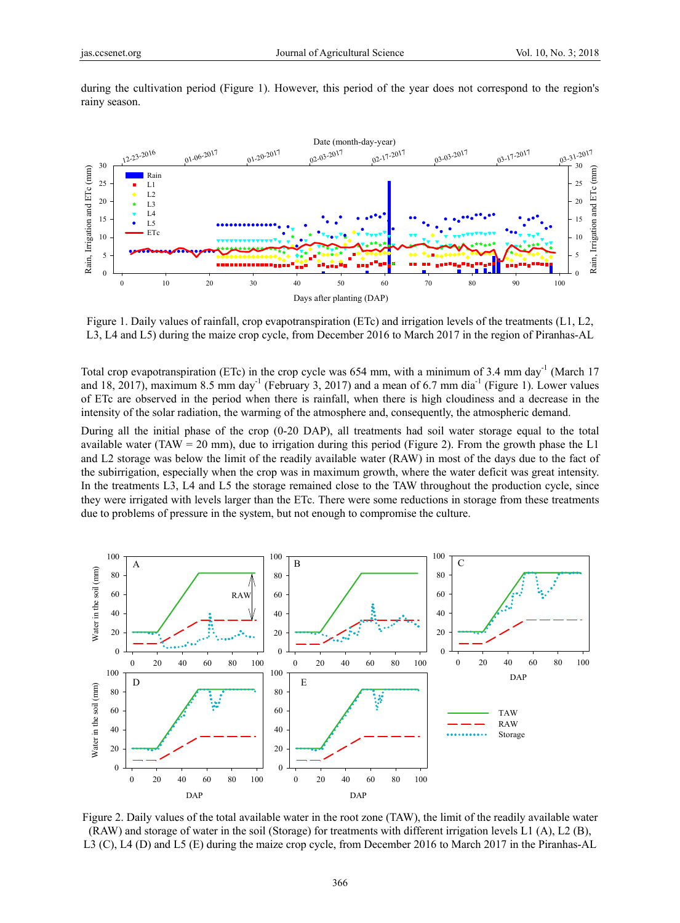

during the cultivation period (Figure 1). However, this period of the year does not correspond to the region's rainy season.

Figure 1. Daily values of rainfall, crop evapotranspiration (ETc) and irrigation levels of the treatments (L1, L2, L3, L4 and L5) during the maize crop cycle, from December 2016 to March 2017 in the region of Piranhas-AL

Total crop evapotranspiration (ETc) in the crop cycle was 654 mm, with a minimum of  $3.4 \text{ mm day}^{-1}$  (March 17 and 18, 2017), maximum 8.5 mm day<sup>-1</sup> (February 3, 2017) and a mean of 6.7 mm dia<sup>-1</sup> (Figure 1). Lower values of ETc are observed in the period when there is rainfall, when there is high cloudiness and a decrease in the intensity of the solar radiation, the warming of the atmosphere and, consequently, the atmospheric demand.

During all the initial phase of the crop (0-20 DAP), all treatments had soil water storage equal to the total available water (TAW = 20 mm), due to irrigation during this period (Figure 2). From the growth phase the  $L1$ and L2 storage was below the limit of the readily available water (RAW) in most of the days due to the fact of the subirrigation, especially when the crop was in maximum growth, where the water deficit was great intensity. In the treatments L3, L4 and L5 the storage remained close to the TAW throughout the production cycle, since they were irrigated with levels larger than the ETc. There were some reductions in storage from these treatments due to problems of pressure in the system, but not enough to compromise the culture.



Figure 2. Daily values of the total available water in the root zone (TAW), the limit of the readily available water (RAW) and storage of water in the soil (Storage) for treatments with different irrigation levels L1 (A), L2 (B), L3 (C), L4 (D) and L5 (E) during the maize crop cycle, from December 2016 to March 2017 in the Piranhas-AL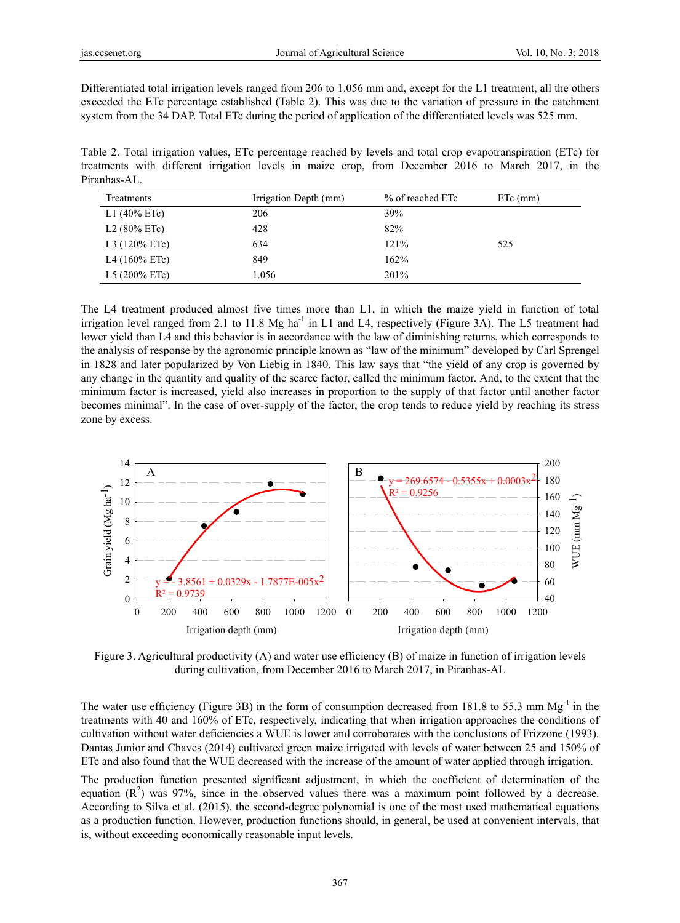Differentiated total irrigation levels ranged from 206 to 1.056 mm and, except for the L1 treatment, all the others exceeded the ETc percentage established (Table 2). This was due to the variation of pressure in the catchment system from the 34 DAP. Total ETc during the period of application of the differentiated levels was 525 mm.

Table 2. Total irrigation values, ETc percentage reached by levels and total crop evapotranspiration (ETc) for treatments with different irrigation levels in maize crop, from December 2016 to March 2017, in the Piranhas-AL.

| Treatments               | Irrigation Depth (mm) | % of reached ETc | $ETc$ (mm) |
|--------------------------|-----------------------|------------------|------------|
| L1 $(40\% \text{ ETc})$  | 206                   | 39%              |            |
| L2 $(80\% \text{ ETc})$  | 428                   | 82%              |            |
| L3 $(120\% \text{ ETc})$ | 634                   | 121%             | 525        |
| L4 $(160\%$ ETc)         | 849                   | 162%             |            |
| L5 $(200\%$ ETc)         | 1.056                 | 201%             |            |

The L4 treatment produced almost five times more than L1, in which the maize yield in function of total irrigation level ranged from 2.1 to 11.8 Mg ha<sup>-1</sup> in L1 and L4, respectively (Figure 3A). The L5 treatment had lower yield than L4 and this behavior is in accordance with the law of diminishing returns, which corresponds to the analysis of response by the agronomic principle known as "law of the minimum" developed by Carl Sprengel in 1828 and later popularized by Von Liebig in 1840. This law says that "the yield of any crop is governed by any change in the quantity and quality of the scarce factor, called the minimum factor. And, to the extent that the minimum factor is increased, yield also increases in proportion to the supply of that factor until another factor becomes minimal". In the case of over-supply of the factor, the crop tends to reduce yield by reaching its stress zone by excess.



Figure 3. Agricultural productivity (A) and water use efficiency (B) of maize in function of irrigation levels during cultivation, from December 2016 to March 2017, in Piranhas-AL

The water use efficiency (Figure 3B) in the form of consumption decreased from 181.8 to 55.3 mm  $Mg^{-1}$  in the treatments with 40 and 160% of ETc, respectively, indicating that when irrigation approaches the conditions of cultivation without water deficiencies a WUE is lower and corroborates with the conclusions of Frizzone (1993). Dantas Junior and Chaves (2014) cultivated green maize irrigated with levels of water between 25 and 150% of ETc and also found that the WUE decreased with the increase of the amount of water applied through irrigation.

The production function presented significant adjustment, in which the coefficient of determination of the equation  $(R^2)$  was 97%, since in the observed values there was a maximum point followed by a decrease. According to Silva et al. (2015), the second-degree polynomial is one of the most used mathematical equations as a production function. However, production functions should, in general, be used at convenient intervals, that is, without exceeding economically reasonable input levels.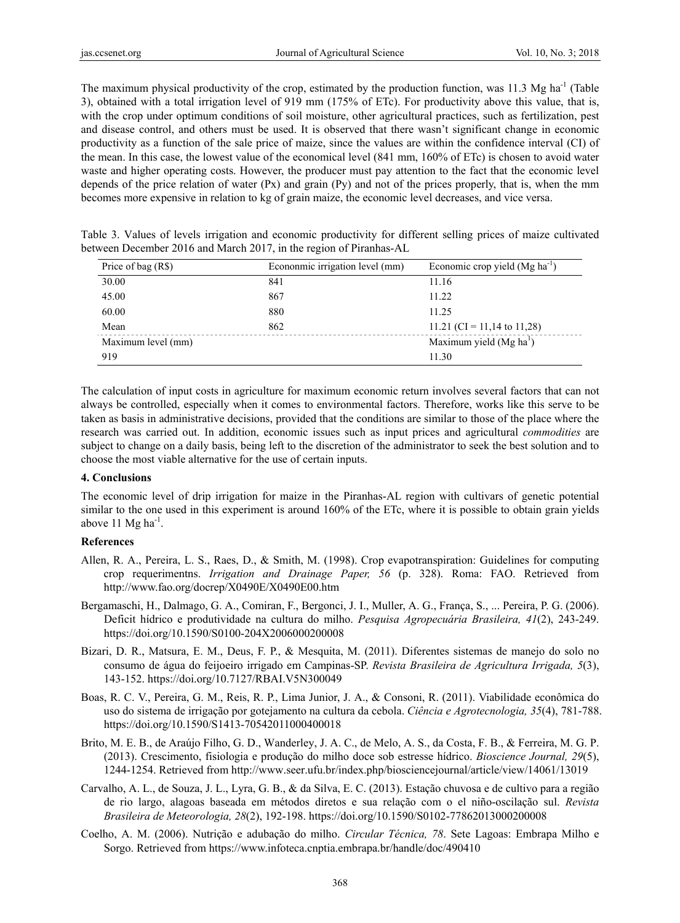The maximum physical productivity of the crop, estimated by the production function, was 11.3 Mg ha<sup>-1</sup> (Table 3), obtained with a total irrigation level of 919 mm (175% of ETc). For productivity above this value, that is, with the crop under optimum conditions of soil moisture, other agricultural practices, such as fertilization, pest and disease control, and others must be used. It is observed that there wasn't significant change in economic productivity as a function of the sale price of maize, since the values are within the confidence interval (CI) of the mean. In this case, the lowest value of the economical level (841 mm, 160% of ETc) is chosen to avoid water waste and higher operating costs. However, the producer must pay attention to the fact that the economic level depends of the price relation of water (Px) and grain (Py) and not of the prices properly, that is, when the mm becomes more expensive in relation to kg of grain maize, the economic level decreases, and vice versa.

Table 3. Values of levels irrigation and economic productivity for different selling prices of maize cultivated between December 2016 and March 2017, in the region of Piranhas-AL

| Price of bag $(R\$ ) | Econonmic irrigation level (mm) | Economic crop yield (Mg ha <sup>-1</sup> ) |
|----------------------|---------------------------------|--------------------------------------------|
| 30.00                | 841                             | 11.16                                      |
| 45.00                | 867                             | 11.22                                      |
| 60.00                | 880                             | 11.25                                      |
| Mean                 | 862                             | 11.21 (CI = 11,14 to 11,28)                |
| Maximum level (mm)   |                                 | Maximum yield $(Mg ha1)$                   |
| 919                  |                                 | 11.30                                      |

The calculation of input costs in agriculture for maximum economic return involves several factors that can not always be controlled, especially when it comes to environmental factors. Therefore, works like this serve to be taken as basis in administrative decisions, provided that the conditions are similar to those of the place where the research was carried out. In addition, economic issues such as input prices and agricultural *commodities* are subject to change on a daily basis, being left to the discretion of the administrator to seek the best solution and to choose the most viable alternative for the use of certain inputs.

#### **4. Conclusions**

The economic level of drip irrigation for maize in the Piranhas-AL region with cultivars of genetic potential similar to the one used in this experiment is around 160% of the ETc, where it is possible to obtain grain yields above 11  $Mg$  ha<sup>-1</sup>.

#### **References**

- Allen, R. A., Pereira, L. S., Raes, D., & Smith, M. (1998). Crop evapotranspiration: Guidelines for computing crop requerimentns. *Irrigation and Drainage Paper, 56* (p. 328). Roma: FAO. Retrieved from http://www.fao.org/docrep/X0490E/X0490E00.htm
- Bergamaschi, H., Dalmago, G. A., Comiran, F., Bergonci, J. I., Muller, A. G., França, S., ... Pereira, P. G. (2006). Deficit hídrico e produtividade na cultura do milho. *Pesquisa Agropecuária Brasileira, 41*(2), 243-249. https://doi.org/10.1590/S0100-204X2006000200008
- Bizari, D. R., Matsura, E. M., Deus, F. P., & Mesquita, M. (2011). Diferentes sistemas de manejo do solo no consumo de água do feijoeiro irrigado em Campinas-SP. *Revista Brasileira de Agricultura Irrigada, 5*(3), 143-152. https://doi.org/10.7127/RBAI.V5N300049
- Boas, R. C. V., Pereira, G. M., Reis, R. P., Lima Junior, J. A., & Consoni, R. (2011). Viabilidade econômica do uso do sistema de irrigação por gotejamento na cultura da cebola. *Ciência e Agrotecnologia, 35*(4), 781-788. https://doi.org/10.1590/S1413-70542011000400018
- Brito, M. E. B., de Araújo Filho, G. D., Wanderley, J. A. C., de Melo, A. S., da Costa, F. B., & Ferreira, M. G. P. (2013). Crescimento, fisiologia e produção do milho doce sob estresse hídrico. *Bioscience Journal, 29*(5), 1244-1254. Retrieved from http://www.seer.ufu.br/index.php/biosciencejournal/article/view/14061/13019
- Carvalho, A. L., de Souza, J. L., Lyra, G. B., & da Silva, E. C. (2013). Estação chuvosa e de cultivo para a região de rio largo, alagoas baseada em métodos diretos e sua relação com o el niño-oscilação sul. *Revista Brasileira de Meteorologia, 28*(2), 192-198. https://doi.org/10.1590/S0102-77862013000200008
- Coelho, A. M. (2006). Nutrição e adubação do milho. *Circular Técnica, 78*. Sete Lagoas: Embrapa Milho e Sorgo. Retrieved from https://www.infoteca.cnptia.embrapa.br/handle/doc/490410